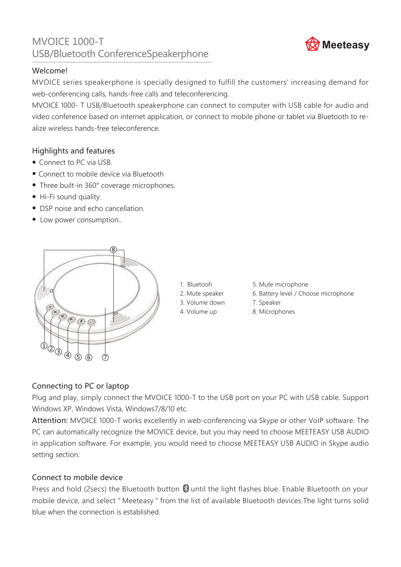# MVOICE 1000-T MVOICE 1000-T<br>USB/Bluetooth ConferenceSpeakerphone **Meeteasy**

# Welcome!

MVOICE series speakerphone is specially designed to fulfill the customers' increasing demand for web-conferencing calls, hands-free calls and teleconferencing.

MVOICE 1000- T USB/Bluetooth speakerphone can connect to computer with USB cable for audio and video conference based on internet application, or connect to mobile phone or tablet via Bluetooth to realize wireless hands-free teleconference.

# Highlights and features

- Connect to PC via USB.
- Connect to mobile device via Bluetooth
- Three built-in 360° coverage microphones.
- Hi-Fi sound quality.
- DSP noise and echo cancellation.
- Low power consumption..



- 1. Bluetooh
- 2. Mute speaker
- 3. Volume down
- 4. Volume up
- 5. Mute microphone
- 6. Battery level / Choose microphone
- 7. Speaker
- 8. Microphones

# Connecting to PC or laptop

Plug and play, simply connect the MVOICE 1000-T to the USB port on your PC with USB cable. Support Windows XP, Windows Vista, Windows7/8/10 etc.

Attention: MVOICE 1000-T works excellently in web-conferencing via Skype or other VoIP software. The PC can automatically recognize the MOVICE device, but you may need to choose MEETEASY USB AUDIO in application software. For example, you would need to choose MEETEASY USB AUDIO in Skype audio setting section.

# Connect to mobile device

Press and hold (2secs) the Bluetooth button  $\mathbb B$  until the light flashes blue. Enable Bluetooth on your mobile device, and select " Meeteasy " from the list of available Bluetooth devices.The light turns solid blue when the connection is established.

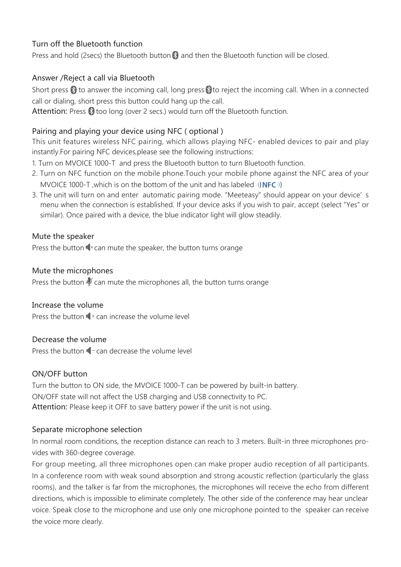# Turn off the Bluetooth function

Press and hold (2secs) the Bluetooth button  $\Omega$  and then the Bluetooth function will be closed.

# Answer /Reject a call via Bluetooth

Short press  $\mathbb S$  to answer the incoming call, long press  $\mathbb S$  to reject the incoming call. When in a connected call or dialing, short press this button could hang up the call.

Attention: Press  $\mathcal{B}$  too long (over 2 secs.) would turn off the Bluetooth function.

# Pairing and playing your device using NFC ( optional )

This unit features wireless NFC pairing, which allows playing NFC- enabled devices to pair and play instantly.For pairing NFC devices,please see the following instructions:

- 1. Turn on MVOICE 1000-T and press the Bluetooth button to turn Bluetooth function.
- 2. Turn on NFC function on the mobile phone.Touch your mobile phone against the NFC area of your MVOICE 1000-T, which is on the bottom of the unit and has labeled  $\mathbf{0}$ ) NFC $\mathbf{0}$ )
- 3. The unit will turn on and enter automatic pairing mode. "Meeteasy" should appear on your device' s menu when the connection is established. If your device asks if you wish to pair, accept (select "Yes" or similar). Once paired with a device, the blue indicator light will glow steadily.

#### Mute the speaker

Press the button  $\mathbb{I}^*$  can mute the speaker, the button turns orange

#### Mute the microphones

Press the button  $\frac{1}{2}$  can mute the microphones all, the button turns orange

#### Increase the volume

Press the button  $\mathbb{C}^+$  can increase the volume level

#### Decrease the volume

Press the button  $\blacksquare$  - can decrease the volume level

#### ON/OFF button

Turn the button to ON side, the MVOICE 1000-T can be powered by built-in battery. ON/OFF state will not affect the USB charging and USB connectivity to PC. Attention: Please keep it OFF to save battery power if the unit is not using.

#### Separate microphone selection

In normal room conditions, the reception distance can reach to 3 meters. Built-in three microphones provides with 360-degree coverage.

For group meeting, all three microphones open can make proper audio reception of all participants. In a conference room with weak sound absorption and strong acoustic reflection (particularly the glass rooms), and the talker is far from the microphones, the microphones will receive the echo from different directions, which is impossible to eliminate completely. The other side of the conference may hear unclear voice. Speak close to the microphone and use only one microphone pointed to the speaker can receive the voice more clearly.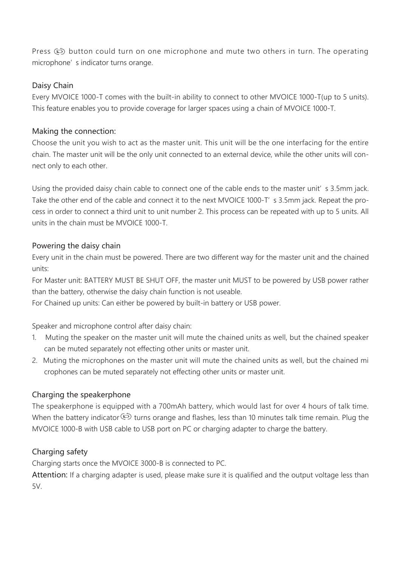Press  $\circled{p}$  button could turn on one microphone and mute two others in turn. The operating microphone' s indicator turns orange.

#### Daisy Chain

Every MVOICE 1000-T comes with the built-in ability to connect to other MVOICE 1000-T(up to 5 units). This feature enables you to provide coverage for larger spaces using a chain of MVOICE 1000-T.

#### Making the connection:

Choose the unit you wish to act as the master unit. This unit will be the one interfacing for the entire chain. The master unit will be the only unit connected to an external device, while the other units will connect only to each other.

Using the provided daisy chain cable to connect one of the cable ends to the master unit' s 3.5mm jack. Take the other end of the cable and connect it to the next MVOICE 1000-T' s 3.5mm jack. Repeat the process in order to connect a third unit to unit number 2. This process can be repeated with up to 5 units. All units in the chain must be MVOICE 1000-T.

#### Powering the daisy chain

Every unit in the chain must be powered. There are two different way for the master unit and the chained units:

For Master unit: BATTERY MUST BE SHUT OFF, the master unit MUST to be powered by USB power rather than the battery, otherwise the daisy chain function is not useable.

For Chained up units: Can either be powered by built-in battery or USB power.

Speaker and microphone control after daisy chain:

- 1. Muting the speaker on the master unit will mute the chained units as well, but the chained speaker can be muted separately not effecting other units or master unit.
- 2. Muting the microphones on the master unit will mute the chained units as well, but the chained mi crophones can be muted separately not effecting other units or master unit.

#### Charging the speakerphone

The speakerphone is equipped with a 700mAh battery, which would last for over 4 hours of talk time. When the battery indicator  $\circledast$  turns orange and flashes, less than 10 minutes talk time remain. Plug the MVOICE 1000-B with USB cable to USB port on PC or charging adapter to charge the battery.

#### Charging safety

Charging starts once the MVOICE 3000-B is connected to PC.

Attention: If a charging adapter is used, please make sure it is qualified and the output voltage less than  $5V$